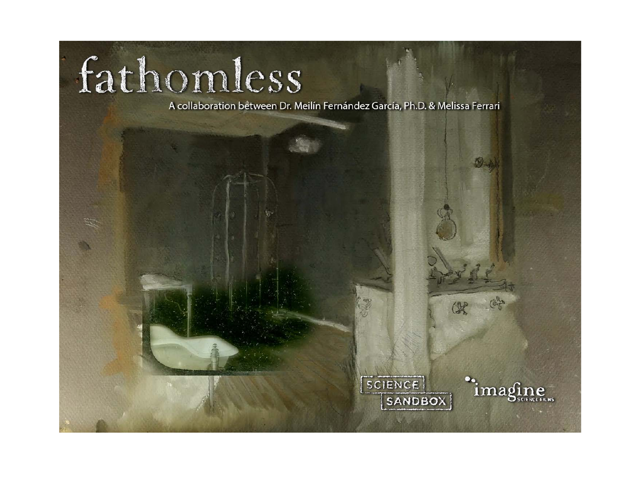# fathomless

A collaboration between Dr. Meilín Fernández García, Ph.D. & Melissa Ferrari

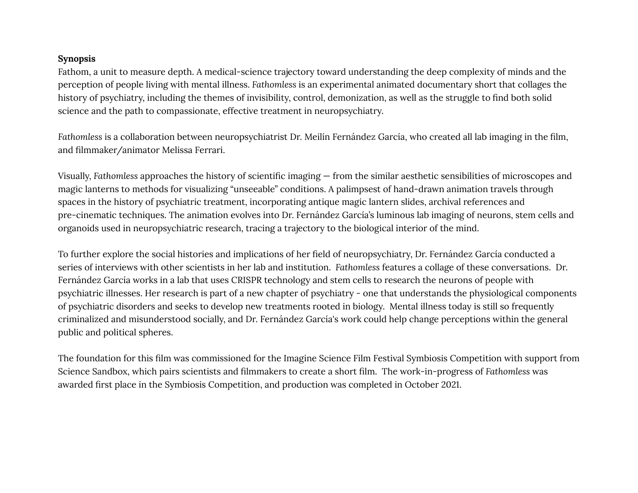# **Synopsis**

Fathom, a unit to measure depth. A medical-science trajectory toward understanding the deep complexity of minds and the perception of people living with mental illness. *Fathomless* is an experimental animated documentary short that collages the history of psychiatry, including the themes of invisibility, control, demonization, as well as the struggle to find both solid science and the path to compassionate, effective treatment in neuropsychiatry.

*Fathomless* is a collaboration between neuropsychiatrist Dr. Meilín Fernández García, who created all lab imaging in the film, and filmmaker/animator Melissa Ferrari.

Visually, *Fathomless* approaches the history of scientific imaging — from the similar aesthetic sensibilities of microscopes and magic lanterns to methods for visualizing "unseeable" conditions. A palimpsest of hand-drawn animation travels through spaces in the history of psychiatric treatment, incorporating antique magic lantern slides, archival references and pre-cinematic techniques. The animation evolves into Dr. Fernández García's luminous lab imaging of neurons, stem cells and organoids used in neuropsychiatric research, tracing a trajectory to the biological interior of the mind.

To further explore the social histories and implications of her field of neuropsychiatry, Dr. Fernández García conducted a series of interviews with other scientists in her lab and institution. *Fathomless* features a collage of these conversations. Dr. Fernández García works in a lab that uses CRISPR technology and stem cells to research the neurons of people with psychiatric illnesses. Her research is part of a new chapter of psychiatry - one that understands the physiological components of psychiatric disorders and seeks to develop new treatments rooted in biology. Mental illness today is still so frequently criminalized and misunderstood socially, and Dr. Fernández García's work could help change perceptions within the general public and political spheres.

The foundation for this film was commissioned for the Imagine Science Film Festival Symbiosis Competition with support from Science Sandbox, which pairs scientists and filmmakers to create a short film. The work-in-progress of *Fathomless* was awarded first place in the Symbiosis Competition, and production was completed in October 2021.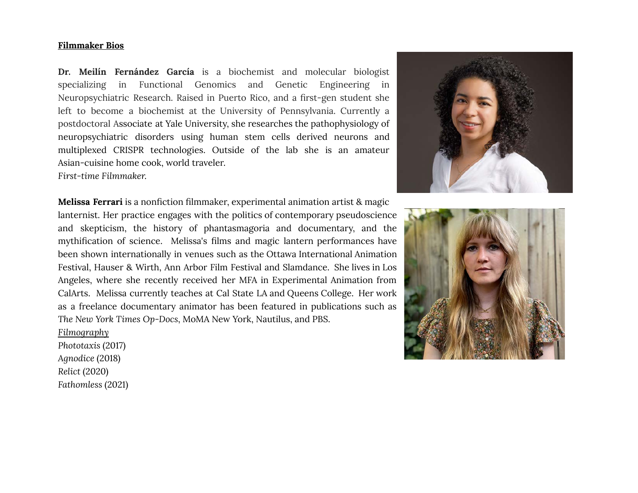### **Filmmaker Bios**

**Dr. Meilín Fernández García** is a biochemist and molecular biologist specializing in Functional Genomics and Genetic Engineering in Neuropsychiatric Research. Raised in Puerto Rico, and a first-gen student she left to become a biochemist at the University of Pennsylvania. Currently a postdoctoral Associate at Yale University, she researches the pathophysiology of neuropsychiatric disorders using human stem cells derived neurons and multiplexed CRISPR technologies. Outside of the lab she is an amateur Asian-cuisine home cook, world traveler. *First-time Filmmaker.*

**Melissa Ferrari** is a nonfiction filmmaker, experimental animation artist & magic lanternist. Her practice engages with the politics of contemporary pseudoscience and skepticism, the history of phantasmagoria and documentary, and the mythification of science. Melissa's films and magic lantern performances have been shown internationally in venues such as the Ottawa International Animation Festival, Hauser & Wirth, Ann Arbor Film Festival and Slamdance. She lives in Los Angeles, where she recently received her MFA in Experimental Animation from CalArts. Melissa currently teaches at Cal State LA and Queens College. Her work as a freelance documentary animator has been featured in publications such as *The New York Times Op-Docs*, MoMA New York, Nautilus, and PBS.

*Filmography Phototaxis* (2017) *Agnodice* (2018) *Relict* (2020) *Fathomless* (2021)



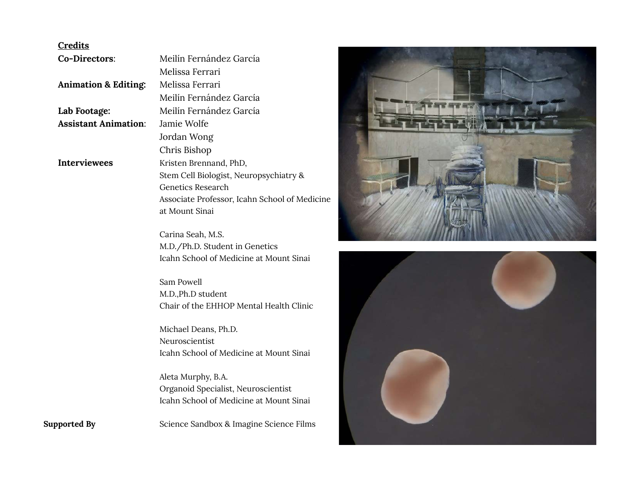### **Credits**

**Co-Directors**: Meilín Fernández García Melissa Ferrari **Animation & Editing:** Melissa Ferrari Meilín Fernández García **Lab Footage:** Meilín Fernández García **Assistant Animation**: Jamie Wolfe Jordan Wong Chris Bishop **Interviewees** Kristen Brennand, PhD, Stem Cell Biologist, Neuropsychiatry & Genetics Research Associate Professor, Icahn School of Medicine at Mount Sinai

> Carina Seah, M.S. M.D./Ph.D. Student in Genetics Icahn School of Medicine at Mount Sinai

Sam Powell M.D.,Ph.D student Chair of the EHHOP Mental Health Clinic

Michael Deans, Ph.D. Neuroscientist Icahn School of Medicine at Mount Sinai

Aleta Murphy, B.A. Organoid Specialist, Neuroscientist Icahn School of Medicine at Mount Sinai

**Supported By** Science Sandbox & Imagine Science Films